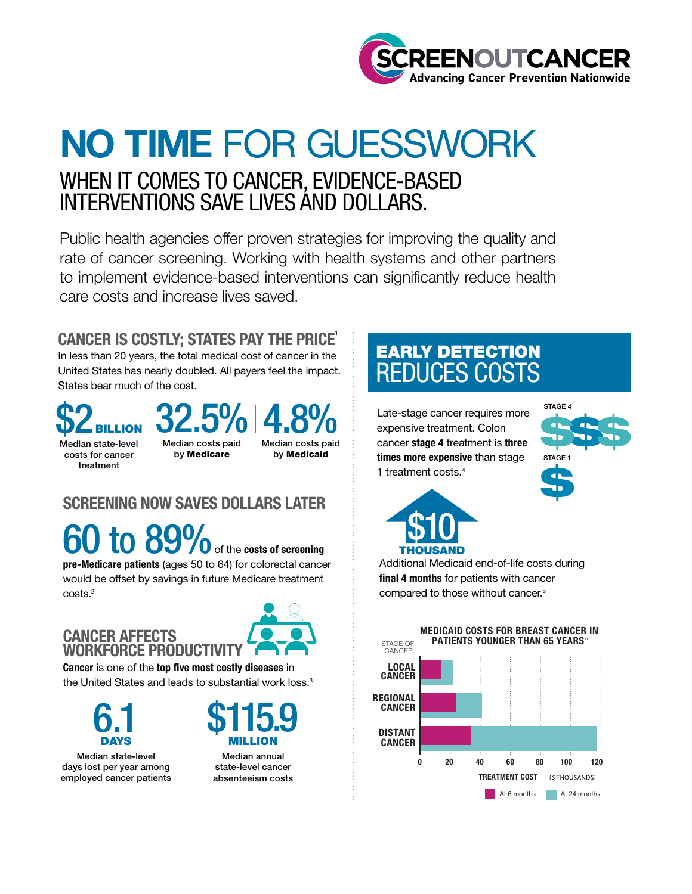

# NO TIME FOR GUESSWORK WHEN IT COMES TO CANCER, EVIDENCE-BASED INTERVENTIONS SAVE LIVES AND DOLLARS.

Public health agencies offer proven strategies for improving the quality and rate of cancer screening. Working with health systems and other partners to implement evidence-based interventions can significantly reduce health care costs and increase lives saved.

### CANCER IS COSTLY; STATES PAY THE PRICE<sup>1</sup>

In less than 20 years, the total medical cost of cancer in the United States has nearly doubled. All payers feel the impact. States bear much of the cost.



## 32.5% 4.8%

Median state-level costs for cancer treatment

costs.2

Median costs paid by Medicare

Median costs paid by Medicaid

### SCREENING NOW SAVES DOLLARS LATER

 $60$  to  $89\%$  of the costs of screening pre-Medicare patients (ages 50 to 64) for colorectal cancer would be offset by savings in future Medicare treatment

#### CANCER AFFECTS WORKFORCE PRODUCTIVITY



Cancer is one of the top five most costly diseases in the United States and leads to substantial work loss.<sup>3</sup>



Median state-level days lost per year among employed cancer patients



Median annual state-level cancer absenteeism costs

# EARLY DETECTION REDUCES COSTS

Late-stage cancer requires more expensive treatment. Colon cancer stage 4 treatment is three times more expensive than stage 1 treatment costs.4





Additional Medicaid end-of-life costs during final 4 months for patients with cancer compared to those without cancer.<sup>5</sup>